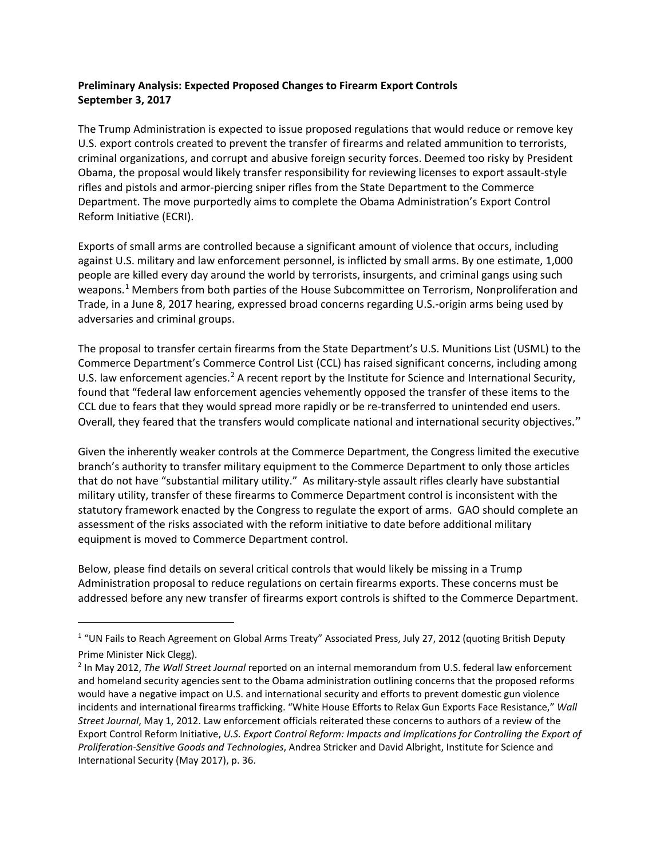## **Preliminary Analysis: Expected Proposed Changes to Firearm Export Controls September 3, 2017**

The Trump Administration is expected to issue proposed regulations that would reduce or remove key U.S. export controls created to prevent the transfer of firearms and related ammunition to terrorists, criminal organizations, and corrupt and abusive foreign security forces. Deemed too risky by President Obama, the proposal would likely transfer responsibility for reviewing licenses to export assault-style rifles and pistols and armor-piercing sniper rifles from the State Department to the Commerce Department. The move purportedly aims to complete the Obama Administration's Export Control Reform Initiative (ECRI).

Exports of small arms are controlled because a significant amount of violence that occurs, including against U.S. military and law enforcement personnel, is inflicted by small arms. By one estimate, 1,000 people are killed every day around the world by terrorists, insurgents, and criminal gangs using such weapons.<sup>[1](#page-0-0)</sup> Members from both parties of the House Subcommittee on Terrorism, Nonproliferation and Trade, in a June 8, 2017 hearing, expressed broad concerns regarding U.S.-origin arms being used by adversaries and criminal groups.

The proposal to transfer certain firearms from the State Department's U.S. Munitions List (USML) to the Commerce Department's Commerce Control List (CCL) has raised significant concerns, including among U.S. law enforcement agencies.<sup>[2](#page-0-1)</sup> A recent report by the Institute for Science and International Security, found that "federal law enforcement agencies vehemently opposed the transfer of these items to the CCL due to fears that they would spread more rapidly or be re-transferred to unintended end users. Overall, they feared that the transfers would complicate national and international security objectives."

Given the inherently weaker controls at the Commerce Department, the Congress limited the executive branch's authority to transfer military equipment to the Commerce Department to only those articles that do not have "substantial military utility." As military-style assault rifles clearly have substantial military utility, transfer of these firearms to Commerce Department control is inconsistent with the statutory framework enacted by the Congress to regulate the export of arms. GAO should complete an assessment of the risks associated with the reform initiative to date before additional military equipment is moved to Commerce Department control.

Below, please find details on several critical controls that would likely be missing in a Trump Administration proposal to reduce regulations on certain firearms exports. These concerns must be addressed before any new transfer of firearms export controls is shifted to the Commerce Department.

 $\overline{a}$ 

<span id="page-0-0"></span><sup>&</sup>lt;sup>1</sup> "UN Fails to Reach Agreement on Global Arms Treaty" Associated Press, July 27, 2012 (quoting British Deputy Prime Minister Nick Clegg).

<span id="page-0-1"></span><sup>2</sup> In May 2012, *The Wall Street Journal* reported on an internal memorandum from U.S. federal law enforcement and homeland security agencies sent to the Obama administration outlining concerns that the proposed reforms would have a negative impact on U.S. and international security and efforts to prevent domestic gun violence incidents and international firearms trafficking. "White House Efforts to Relax Gun Exports Face Resistance," *Wall Street Journal*, May 1, 2012. Law enforcement officials reiterated these concerns to authors of a review of the Export Control Reform Initiative, *U.S. Export Control Reform: Impacts and Implications for Controlling the Export of Proliferation-Sensitive Goods and Technologies*, Andrea Stricker and David Albright, Institute for Science and International Security (May 2017), p. 36.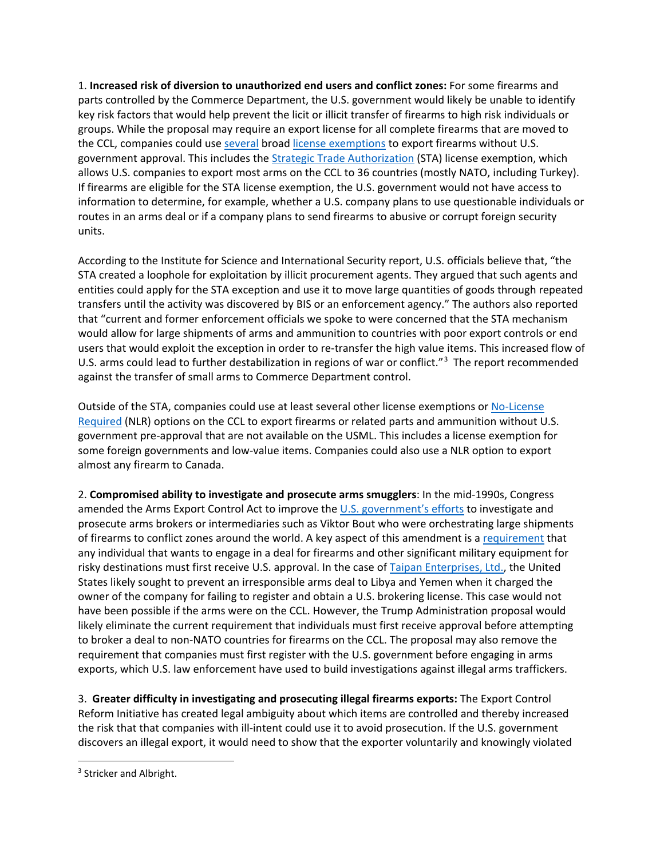1. **Increased risk of diversion to unauthorized end users and conflict zones:** For some firearms and parts controlled by the Commerce Department, the U.S. government would likely be unable to identify key risk factors that would help prevent the licit or illicit transfer of firearms to high risk individuals or groups. While the proposal may require an export license for all complete firearms that are moved to the CCL, companies could use [several](https://www.bis.doc.gov/index.php/forms-documents/technology-evaluation/ote-data-portal/ecr-analysis/2082-2016-4th-quarter-statistics-of-us-exports-under-export-control-reform/file) broad [license exemptions](https://www.bis.doc.gov/index.php/forms-documents/technology-evaluation/ote-data-portal/ecr-analysis/2082-2016-4th-quarter-statistics-of-us-exports-under-export-control-reform/file) to export firearms without U.S. government approval. This includes the [Strategic Trade Authorization](https://www.bis.doc.gov/index.php/forms-documents/technology-evaluation/ote-data-portal/ecr-analysis/1537-sta-use-july-2011-june-2016/file) (STA) license exemption, which allows U.S. companies to export most arms on the CCL to 36 countries (mostly NATO, including Turkey). If firearms are eligible for the STA license exemption, the U.S. government would not have access to information to determine, for example, whether a U.S. company plans to use questionable individuals or routes in an arms deal or if a company plans to send firearms to abusive or corrupt foreign security units.

According to the Institute for Science and International Security report, U.S. officials believe that, "the STA created a loophole for exploitation by illicit procurement agents. They argued that such agents and entities could apply for the STA exception and use it to move large quantities of goods through repeated transfers until the activity was discovered by BIS or an enforcement agency." The authors also reported that "current and former enforcement officials we spoke to were concerned that the STA mechanism would allow for large shipments of arms and ammunition to countries with poor export controls or end users that would exploit the exception in order to re-transfer the high value items. This increased flow of U.S. arms could lead to further destabilization in regions of war or conflict."<sup>[3](#page-1-0)</sup> The report recommended against the transfer of small arms to Commerce Department control.

Outside of the STA, companies could use at least several other license exemptions or [No-License](https://www.bis.doc.gov/index.php/forms-documents/technology-evaluation/ote-data-portal/ecr-analysis/2082-2016-4th-quarter-statistics-of-us-exports-under-export-control-reform/file)  [Required](https://www.bis.doc.gov/index.php/forms-documents/technology-evaluation/ote-data-portal/ecr-analysis/2082-2016-4th-quarter-statistics-of-us-exports-under-export-control-reform/file) (NLR) options on the CCL to export firearms or related parts and ammunition without U.S. government pre-approval that are not available on the USML. This includes a license exemption for some foreign governments and low-value items. Companies could also use a NLR option to export almost any firearm to Canada.

2. **Compromised ability to investigate and prosecute arms smugglers**: In the mid-1990s, Congress amended the Arms Export Control Act to improve the [U.S. government's efforts](https://www.oxfamamerica.org/static/media/files/beyond-viktor-bout.pdf) to investigate and prosecute arms brokers or intermediaries such as Viktor Bout who were orchestrating large shipments of firearms to conflict zones around the world. A key aspect of this amendment is [a requirement](https://www.ecfr.gov/cgi-bin/text-idx?SID=86008bdffd1fb2e79cc5df41a180750a&node=22:1.0.1.13.66&rgn=div5) that any individual that wants to engage in a deal for firearms and other significant military equipment for risky destinations must first receive U.S. approval. In the case of [Taipan Enterprises, Ltd.,](https://www.justice.gov/sites/default/files/pages/attachments/2015/08/12/export-case-list-august-2015-final.pdf) the United States likely sought to prevent an irresponsible arms deal to Libya and Yemen when it charged the owner of the company for failing to register and obtain a U.S. brokering license. This case would not have been possible if the arms were on the CCL. However, the Trump Administration proposal would likely eliminate the current requirement that individuals must first receive approval before attempting to broker a deal to non-NATO countries for firearms on the CCL. The proposal may also remove the requirement that companies must first register with the U.S. government before engaging in arms exports, which U.S. law enforcement have used to build investigations against illegal arms traffickers.

3. **Greater difficulty in investigating and prosecuting illegal firearms exports:** The Export Control Reform Initiative has created legal ambiguity about which items are controlled and thereby increased the risk that that companies with ill-intent could use it to avoid prosecution. If the U.S. government discovers an illegal export, it would need to show that the exporter voluntarily and knowingly violated

<span id="page-1-0"></span><sup>&</sup>lt;sup>3</sup> Stricker and Albright.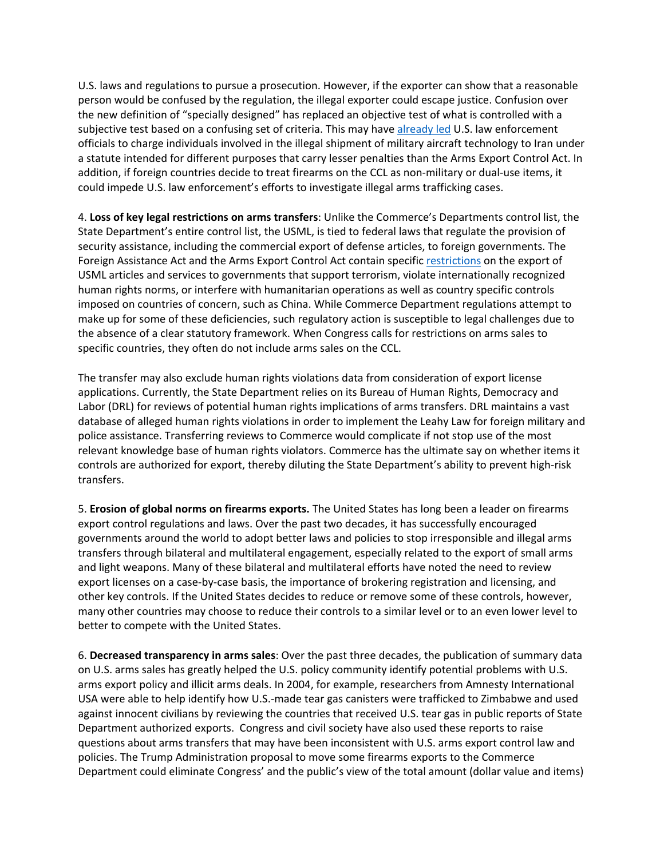U.S. laws and regulations to pursue a prosecution. However, if the exporter can show that a reasonable person would be confused by the regulation, the illegal exporter could escape justice. Confusion over the new definition of "specially designed" has replaced an objective test of what is controlled with a subjective test based on a confusing set of criteria. This may hav[e already led](https://www.lexology.com/library/detail.aspx?g=5634cfb3-1ec6-49b8-a84a-151b0679b7c1) U.S. law enforcement officials to charge individuals involved in the illegal shipment of military aircraft technology to Iran under a statute intended for different purposes that carry lesser penalties than the Arms Export Control Act. In addition, if foreign countries decide to treat firearms on the CCL as non-military or dual-use items, it could impede U.S. law enforcement's efforts to investigate illegal arms trafficking cases.

4. **Loss of key legal restrictions on arms transfers**: Unlike the Commerce's Departments control list, the State Department's entire control list, the USML, is tied to federal laws that regulate the provision of security assistance, including the commercial export of defense articles, to foreign governments. The Foreign Assistance Act and the Arms Export Control Act contain specific [restrictions](https://fas.org/asmp/campaigns/legislationindex.html) on the export of USML articles and services to governments that support terrorism, violate internationally recognized human rights norms, or interfere with humanitarian operations as well as country specific controls imposed on countries of concern, such as China. While Commerce Department regulations attempt to make up for some of these deficiencies, such regulatory action is susceptible to legal challenges due to the absence of a clear statutory framework. When Congress calls for restrictions on arms sales to specific countries, they often do not include arms sales on the CCL.

The transfer may also exclude human rights violations data from consideration of export license applications. Currently, the State Department relies on its Bureau of Human Rights, Democracy and Labor (DRL) for reviews of potential human rights implications of arms transfers. DRL maintains a vast database of alleged human rights violations in order to implement the Leahy Law for foreign military and police assistance. Transferring reviews to Commerce would complicate if not stop use of the most relevant knowledge base of human rights violators. Commerce has the ultimate say on whether items it controls are authorized for export, thereby diluting the State Department's ability to prevent high-risk transfers.

5. **Erosion of global norms on firearms exports.** The United States has long been a leader on firearms export control regulations and laws. Over the past two decades, it has successfully encouraged governments around the world to adopt better laws and policies to stop irresponsible and illegal arms transfers through bilateral and multilateral engagement, especially related to the export of small arms and light weapons. Many of these bilateral and multilateral efforts have noted the need to review export licenses on a case-by-case basis, the importance of brokering registration and licensing, and other key controls. If the United States decides to reduce or remove some of these controls, however, many other countries may choose to reduce their controls to a similar level or to an even lower level to better to compete with the United States.

6. **Decreased transparency in arms sales**: Over the past three decades, the publication of summary data on U.S. arms sales has greatly helped the U.S. policy community identify potential problems with U.S. arms export policy and illicit arms deals. In 2004, for example, researchers from Amnesty International USA were able to help identify how U.S.-made tear gas canisters were trafficked to Zimbabwe and used against innocent civilians by reviewing the countries that received U.S. tear gas in public reports of State Department authorized exports. Congress and civil society have also used these reports to raise questions about arms transfers that may have been inconsistent with U.S. arms export control law and policies. The Trump Administration proposal to move some firearms exports to the Commerce Department could eliminate Congress' and the public's view of the total amount (dollar value and items)